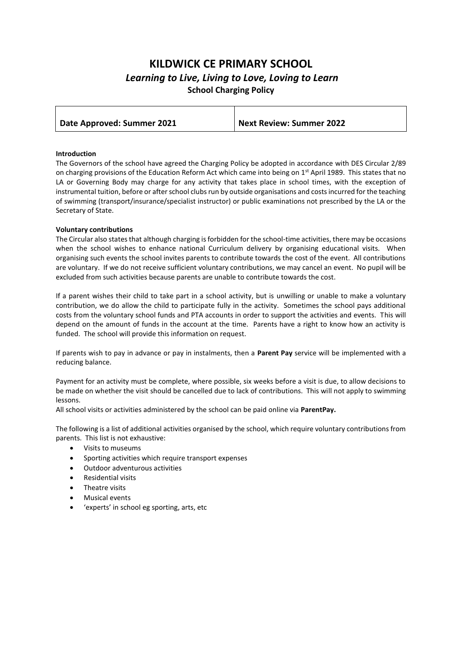# **KILDWICK CE PRIMARY SCHOOL** *Learning to Live, Living to Love, Loving to Learn* **School Charging Policy**

| Date Approved: Summer 2021 | <b>Next Review: Summer 2022</b> |
|----------------------------|---------------------------------|

### **Introduction**

The Governors of the school have agreed the Charging Policy be adopted in accordance with DES Circular 2/89 on charging provisions of the Education Reform Act which came into being on 1<sup>st</sup> April 1989. This states that no LA or Governing Body may charge for any activity that takes place in school times, with the exception of instrumental tuition, before or after school clubs run by outside organisations and costs incurred for the teaching of swimming (transport/insurance/specialist instructor) or public examinations not prescribed by the LA or the Secretary of State.

## **Voluntary contributions**

The Circular also states that although charging is forbidden for the school-time activities, there may be occasions when the school wishes to enhance national Curriculum delivery by organising educational visits. When organising such events the school invites parents to contribute towards the cost of the event. All contributions are voluntary. If we do not receive sufficient voluntary contributions, we may cancel an event. No pupil will be excluded from such activities because parents are unable to contribute towards the cost.

If a parent wishes their child to take part in a school activity, but is unwilling or unable to make a voluntary contribution, we do allow the child to participate fully in the activity. Sometimes the school pays additional costs from the voluntary school funds and PTA accounts in order to support the activities and events. This will depend on the amount of funds in the account at the time. Parents have a right to know how an activity is funded. The school will provide this information on request.

If parents wish to pay in advance or pay in instalments, then a **Parent Pay** service will be implemented with a reducing balance.

Payment for an activity must be complete, where possible, six weeks before a visit is due, to allow decisions to be made on whether the visit should be cancelled due to lack of contributions. This will not apply to swimming lessons.

All school visits or activities administered by the school can be paid online via **ParentPay.**

The following is a list of additional activities organised by the school, which require voluntary contributions from parents. This list is not exhaustive:

- Visits to museums
- Sporting activities which require transport expenses
- Outdoor adventurous activities
- Residential visits
- Theatre visits
- Musical events
- 'experts' in school eg sporting, arts, etc